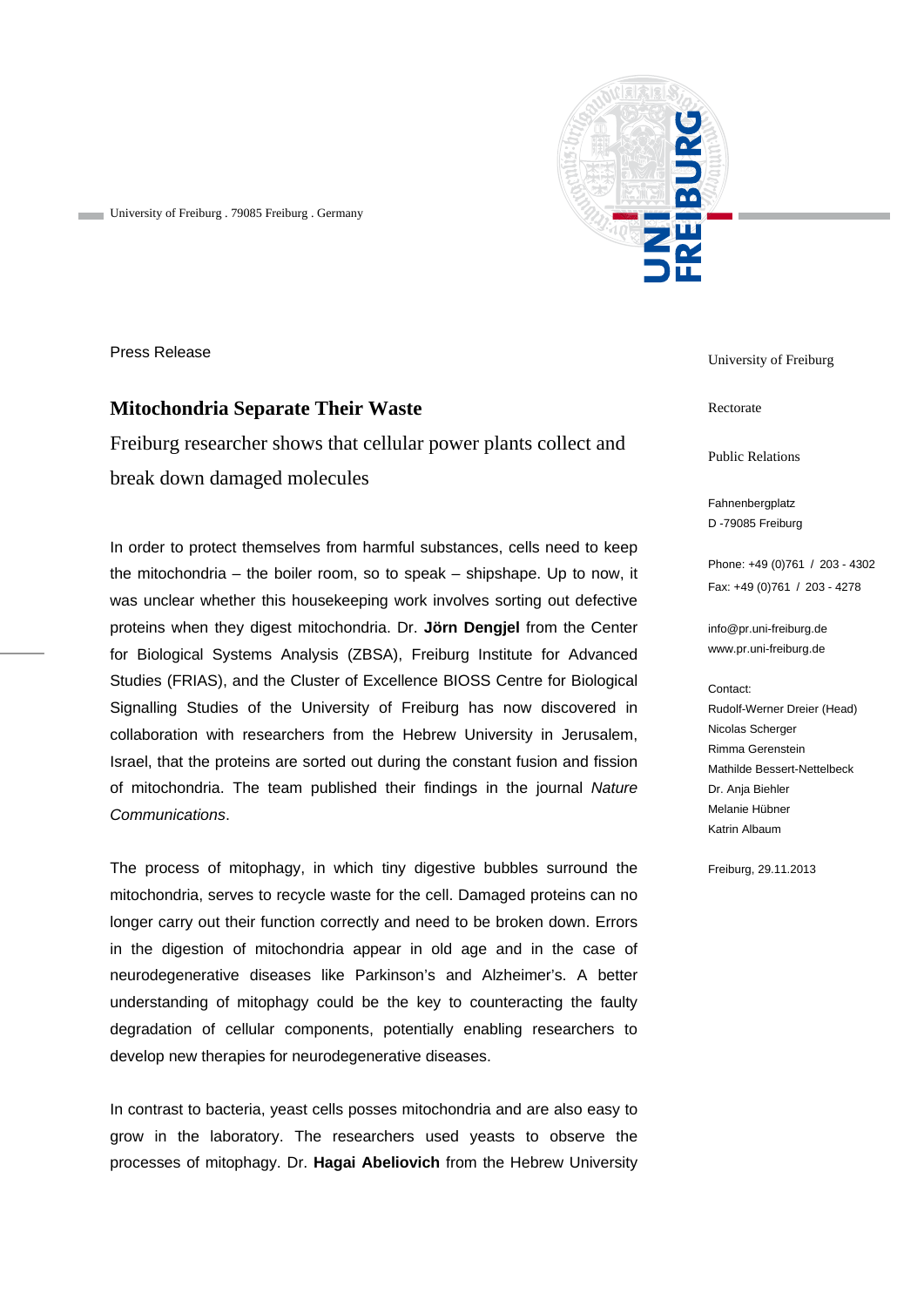

University of Freiburg . 79085 Freiburg . Germany

Press Release

## **Mitochondria Separate Their Waste**

Freiburg researcher shows that cellular power plants collect and break down damaged molecules

In order to protect themselves from harmful substances, cells need to keep the mitochondria – the boiler room, so to speak – shipshape. Up to now, it was unclear whether this housekeeping work involves sorting out defective proteins when they digest mitochondria. Dr. **Jörn Dengjel** from the Center for Biological Systems Analysis (ZBSA), Freiburg Institute for Advanced Studies (FRIAS), and the Cluster of Excellence BIOSS Centre for Biological Signalling Studies of the University of Freiburg has now discovered in collaboration with researchers from the Hebrew University in Jerusalem, Israel, that the proteins are sorted out during the constant fusion and fission of mitochondria. The team published their findings in the journal *Nature Communications*.

The process of mitophagy, in which tiny digestive bubbles surround the mitochondria, serves to recycle waste for the cell. Damaged proteins can no longer carry out their function correctly and need to be broken down. Errors in the digestion of mitochondria appear in old age and in the case of neurodegenerative diseases like Parkinson's and Alzheimer's. A better understanding of mitophagy could be the key to counteracting the faulty degradation of cellular components, potentially enabling researchers to develop new therapies for neurodegenerative diseases.

In contrast to bacteria, yeast cells posses mitochondria and are also easy to grow in the laboratory. The researchers used yeasts to observe the processes of mitophagy. Dr. **Hagai Abeliovich** from the Hebrew University University of Freiburg

Rectorate

Public Relations

Fahnenbergplatz D -79085 Freiburg

Phone: +49 (0)761 / 203 - 4302 Fax: +49 (0)761 / 203 - 4278

info@pr.uni-freiburg.de www.pr.uni-freiburg.de

## Contact:

Rudolf-Werner Dreier (Head) Nicolas Scherger Rimma Gerenstein Mathilde Bessert-Nettelbeck Dr. Anja Biehler Melanie Hübner Katrin Albaum

Freiburg, 29.11.2013